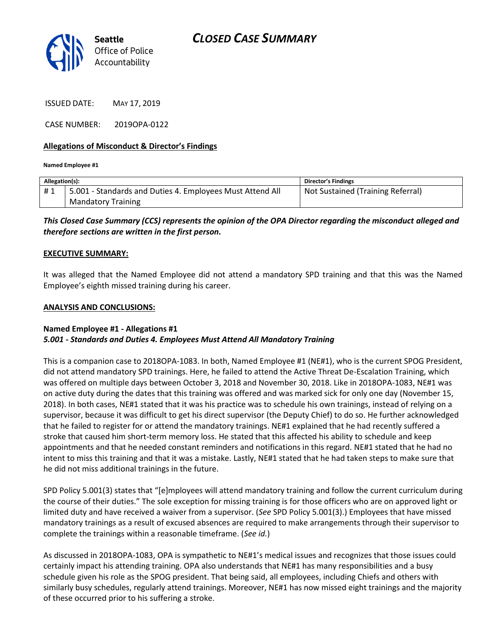

*CLOSED CASE SUMMARY*

ISSUED DATE: MAY 17, 2019

CASE NUMBER: 2019OPA-0122

## **Allegations of Misconduct & Director's Findings**

**Named Employee #1**

| Allegation(s): |                                                           | Director's Findings               |
|----------------|-----------------------------------------------------------|-----------------------------------|
| #1             | 5.001 - Standards and Duties 4. Employees Must Attend All | Not Sustained (Training Referral) |
|                | <b>Mandatory Training</b>                                 |                                   |

*This Closed Case Summary (CCS) represents the opinion of the OPA Director regarding the misconduct alleged and therefore sections are written in the first person.* 

## **EXECUTIVE SUMMARY:**

It was alleged that the Named Employee did not attend a mandatory SPD training and that this was the Named Employee's eighth missed training during his career.

## **ANALYSIS AND CONCLUSIONS:**

## **Named Employee #1 - Allegations #1** *5.001 - Standards and Duties 4. Employees Must Attend All Mandatory Training*

This is a companion case to 2018OPA-1083. In both, Named Employee #1 (NE#1), who is the current SPOG President, did not attend mandatory SPD trainings. Here, he failed to attend the Active Threat De-Escalation Training, which was offered on multiple days between October 3, 2018 and November 30, 2018. Like in 2018OPA-1083, NE#1 was on active duty during the dates that this training was offered and was marked sick for only one day (November 15, 2018). In both cases, NE#1 stated that it was his practice was to schedule his own trainings, instead of relying on a supervisor, because it was difficult to get his direct supervisor (the Deputy Chief) to do so. He further acknowledged that he failed to register for or attend the mandatory trainings. NE#1 explained that he had recently suffered a stroke that caused him short-term memory loss. He stated that this affected his ability to schedule and keep appointments and that he needed constant reminders and notifications in this regard. NE#1 stated that he had no intent to miss this training and that it was a mistake. Lastly, NE#1 stated that he had taken steps to make sure that he did not miss additional trainings in the future.

SPD Policy 5.001(3) states that "[e]mployees will attend mandatory training and follow the current curriculum during the course of their duties." The sole exception for missing training is for those officers who are on approved light or limited duty and have received a waiver from a supervisor. (*See* SPD Policy 5.001(3).) Employees that have missed mandatory trainings as a result of excused absences are required to make arrangements through their supervisor to complete the trainings within a reasonable timeframe. (*See id.*)

As discussed in 2018OPA-1083, OPA is sympathetic to NE#1's medical issues and recognizes that those issues could certainly impact his attending training. OPA also understands that NE#1 has many responsibilities and a busy schedule given his role as the SPOG president. That being said, all employees, including Chiefs and others with similarly busy schedules, regularly attend trainings. Moreover, NE#1 has now missed eight trainings and the majority of these occurred prior to his suffering a stroke.